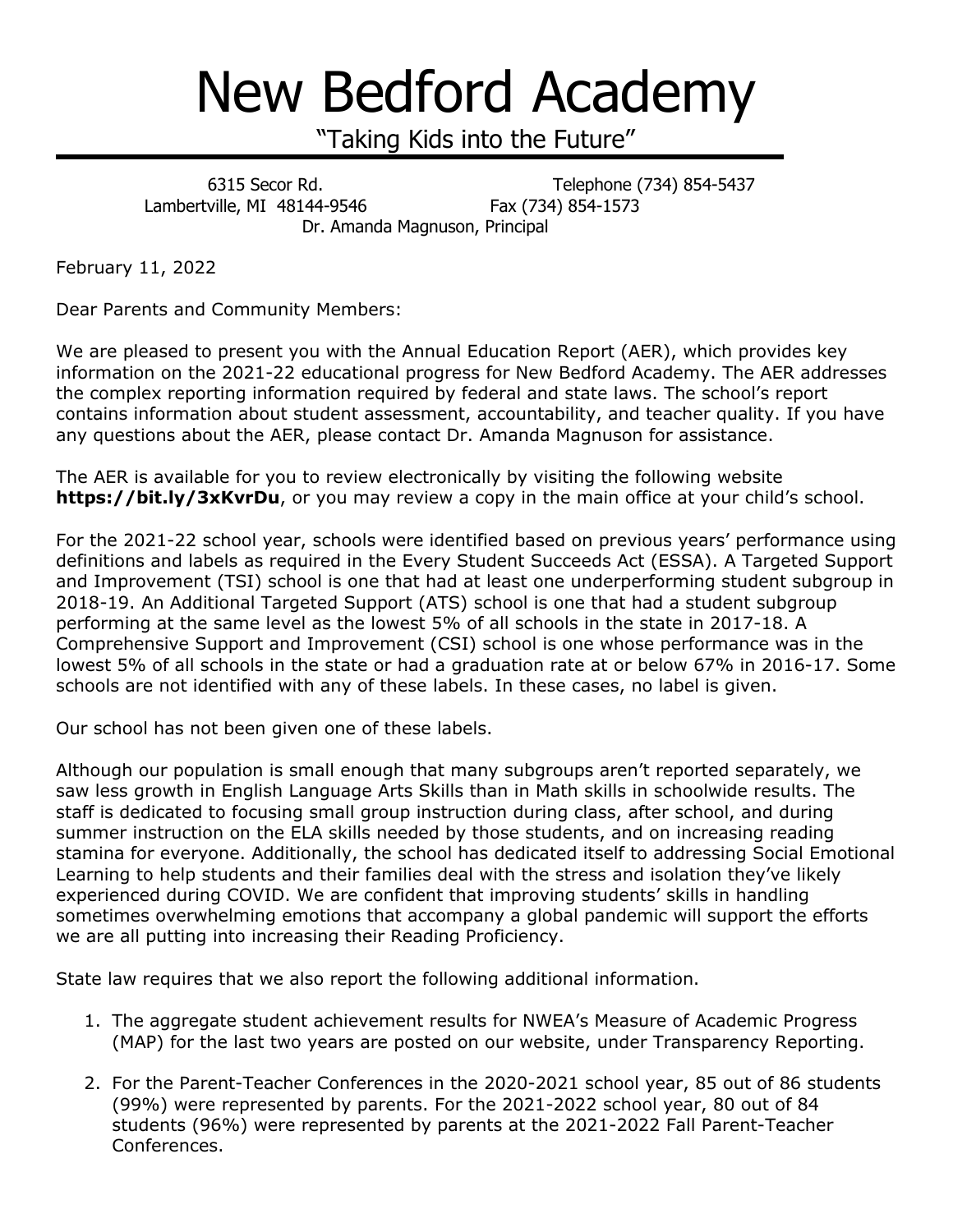## New Bedford Academy

"Taking Kids into the Future"

٦ 6315 Secor Rd. Telephone (734) 854-5437 Lambertville, MI 48144-9546 Fax (734) 854-1573 Dr. Amanda Magnuson, Principal

February 11, 2022

Dear Parents and Community Members:

We are pleased to present you with the Annual Education Report (AER), which provides key information on the 2021-22 educational progress for New Bedford Academy. The AER addresses the complex reporting information required by federal and state laws. The school's report contains information about student assessment, accountability, and teacher quality. If you have any questions about the AER, please contact Dr. Amanda Magnuson for assistance.

The AER is available for you to review electronically by visiting the following website **https://bit.ly/3xKvrDu**, or you may review a copy in the main office at your child's school.

For the 2021-22 school year, schools were identified based on previous years' performance using definitions and labels as required in the Every Student Succeeds Act (ESSA). A Targeted Support and Improvement (TSI) school is one that had at least one underperforming student subgroup in 2018-19. An Additional Targeted Support (ATS) school is one that had a student subgroup performing at the same level as the lowest 5% of all schools in the state in 2017-18. A Comprehensive Support and Improvement (CSI) school is one whose performance was in the lowest 5% of all schools in the state or had a graduation rate at or below 67% in 2016-17. Some schools are not identified with any of these labels. In these cases, no label is given.

Our school has not been given one of these labels.

Although our population is small enough that many subgroups aren't reported separately, we saw less growth in English Language Arts Skills than in Math skills in schoolwide results. The staff is dedicated to focusing small group instruction during class, after school, and during summer instruction on the ELA skills needed by those students, and on increasing reading stamina for everyone. Additionally, the school has dedicated itself to addressing Social Emotional Learning to help students and their families deal with the stress and isolation they've likely experienced during COVID. We are confident that improving students' skills in handling sometimes overwhelming emotions that accompany a global pandemic will support the efforts we are all putting into increasing their Reading Proficiency.

State law requires that we also report the following additional information.

- 1. The aggregate student achievement results for NWEA's Measure of Academic Progress (MAP) for the last two years are posted on our website, under Transparency Reporting.
- 2. For the Parent-Teacher Conferences in the 2020-2021 school year, 85 out of 86 students (99%) were represented by parents. For the 2021-2022 school year, 80 out of 84 students (96%) were represented by parents at the 2021-2022 Fall Parent-Teacher Conferences.